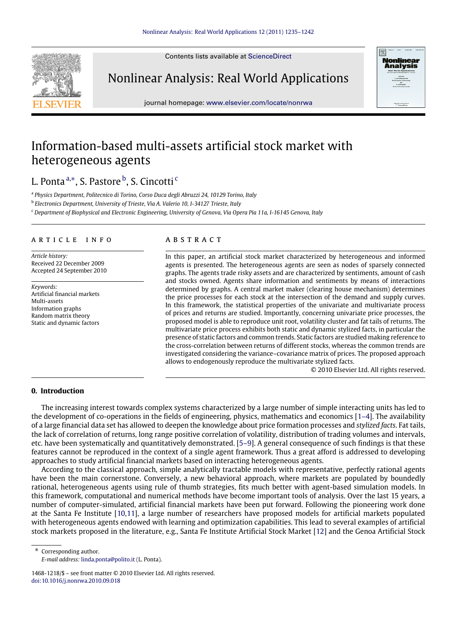Contents lists available at [ScienceDirect](http://www.elsevier.com/locate/nonrwa)



Nonlinear Analysis: Real World Applications

journal homepage: [www.elsevier.com/locate/nonrwa](http://www.elsevier.com/locate/nonrwa)

# Information-based multi-assets artificial stock market with heterogeneous agents

## L. Ponta <sup>[a,](#page-0-0)\*</sup>, S. Pastore <sup>[b](#page-0-2)</sup>, S. Cin[c](#page-0-3)otti<sup>c</sup>

<span id="page-0-0"></span><sup>a</sup> Physics Department, Politecnico di Torino, Corso Duca degli Abruzzi 24, 10129 Torino, Italy

<span id="page-0-2"></span>b *Electronics Department, University of Trieste, Via A. Valerio 10, I-34127 Trieste, Italy*

<span id="page-0-3"></span><sup>c</sup> *Department of Biophysical and Electronic Engineering, University of Genova, Via Opera Pia 11a, I-16145 Genova, Italy*

#### a r t i c l e i n f o

*Article history:* Received 22 December 2009 Accepted 24 September 2010

*Keywords:* Artificial financial markets Multi-assets Information graphs Random matrix theory Static and dynamic factors

### A B S T R A C T

In this paper, an artificial stock market characterized by heterogeneous and informed agents is presented. The heterogeneous agents are seen as nodes of sparsely connected graphs. The agents trade risky assets and are characterized by sentiments, amount of cash and stocks owned. Agents share information and sentiments by means of interactions determined by graphs. A central market maker (clearing house mechanism) determines the price processes for each stock at the intersection of the demand and supply curves. In this framework, the statistical properties of the univariate and multivariate process of prices and returns are studied. Importantly, concerning univariate price processes, the proposed model is able to reproduce unit root, volatility cluster and fat tails of returns. The multivariate price process exhibits both static and dynamic stylized facts, in particular the presence of static factors and common trends. Static factors are studied making reference to the cross-correlation between returns of different stocks, whereas the common trends are investigated considering the variance–covariance matrix of prices. The proposed approach allows to endogenously reproduce the multivariate stylized facts.

© 2010 Elsevier Ltd. All rights reserved.

**Nonlinear Analysis** 

### **0. Introduction**

The increasing interest towards complex systems characterized by a large number of simple interacting units has led to the development of co-operations in the fields of engineering, physics, mathematics and economics [\[1–4\]](#page--1-0). The availability of a large financial data set has allowed to deepen the knowledge about price formation processes and *stylized facts*. Fat tails, the lack of correlation of returns, long range positive correlation of volatility, distribution of trading volumes and intervals, etc. have been systematically and quantitatively demonstrated. [\[5–9\]](#page--1-1). A general consequence of such findings is that these features cannot be reproduced in the context of a single agent framework. Thus a great afford is addressed to developing approaches to study artificial financial markets based on interacting heterogeneous agents.

According to the classical approach, simple analytically tractable models with representative, perfectly rational agents have been the main cornerstone. Conversely, a new behavioral approach, where markets are populated by boundedly rational, heterogeneous agents using rule of thumb strategies, fits much better with agent-based simulation models. In this framework, computational and numerical methods have become important tools of analysis. Over the last 15 years, a number of computer-simulated, artificial financial markets have been put forward. Following the pioneering work done at the Santa Fe Institute [\[10](#page--1-2)[,11\]](#page--1-3), a large number of researchers have proposed models for artificial markets populated with heterogeneous agents endowed with learning and optimization capabilities. This lead to several examples of artificial stock markets proposed in the literature, e.g., Santa Fe Institute Artificial Stock Market [\[12\]](#page--1-4) and the Genoa Artificial Stock

<span id="page-0-1"></span>∗ Corresponding author. *E-mail address:* [linda.ponta@polito.it](mailto:linda.ponta@polito.it) (L. Ponta).

<sup>1468-1218/\$ –</sup> see front matter © 2010 Elsevier Ltd. All rights reserved. [doi:10.1016/j.nonrwa.2010.09.018](http://dx.doi.org/10.1016/j.nonrwa.2010.09.018)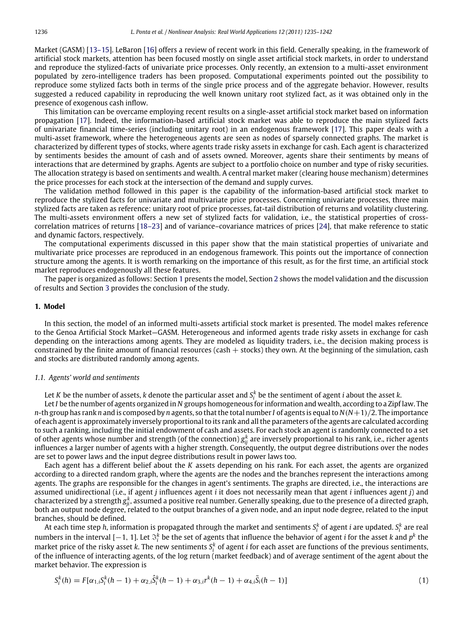Market (GASM) [\[13–15\]](#page--1-5). LeBaron [\[16\]](#page--1-6) offers a review of recent work in this field. Generally speaking, in the framework of artificial stock markets, attention has been focused mostly on single asset artificial stock markets, in order to understand and reproduce the stylized-facts of univariate price processes. Only recently, an extension to a multi-asset environment populated by zero-intelligence traders has been proposed. Computational experiments pointed out the possibility to reproduce some stylized facts both in terms of the single price process and of the aggregate behavior. However, results suggested a reduced capability in reproducing the well known unitary root stylized fact, as it was obtained only in the presence of exogenous cash inflow.

This limitation can be overcame employing recent results on a single-asset artificial stock market based on information propagation [\[17\]](#page--1-7). Indeed, the information-based artificial stock market was able to reproduce the main stylized facts of univariate financial time-series (including unitary root) in an endogenous framework [\[17\]](#page--1-7). This paper deals with a multi-asset framework, where the heterogeneous agents are seen as nodes of sparsely connected graphs. The market is characterized by different types of stocks, where agents trade risky assets in exchange for cash. Each agent is characterized by sentiments besides the amount of cash and of assets owned. Moreover, agents share their sentiments by means of interactions that are determined by graphs. Agents are subject to a portfolio choice on number and type of risky securities. The allocation strategy is based on sentiments and wealth. A central market maker (clearing house mechanism) determines the price processes for each stock at the intersection of the demand and supply curves.

The validation method followed in this paper is the capability of the information-based artificial stock market to reproduce the stylized facts for univariate and multivariate price processes. Concerning univariate processes, three main stylized facts are taken as reference: unitary root of price processes, fat-tail distribution of returns and volatility clustering. The multi-assets environment offers a new set of stylized facts for validation, i.e., the statistical properties of crosscorrelation matrices of returns [\[18–23\]](#page--1-8) and of variance–covariance matrices of prices [\[24\]](#page--1-9), that make reference to static and dynamic factors, respectively.

The computational experiments discussed in this paper show that the main statistical properties of univariate and multivariate price processes are reproduced in an endogenous framework. This points out the importance of connection structure among the agents. It is worth remarking on the importance of this result, as for the first time, an artificial stock market reproduces endogenously all these features.

The paper is organized as follows: Section [1](#page-1-0) presents the model, Section [2](#page--1-10) shows the model validation and the discussion of results and Section [3](#page--1-11) provides the conclusion of the study.

#### <span id="page-1-0"></span>**1. Model**

In this section, the model of an informed multi-assets artificial stock market is presented. The model makes reference to the Genoa Artificial Stock Market—GASM. Heterogeneous and informed agents trade risky assets in exchange for cash depending on the interactions among agents. They are modeled as liquidity traders, i.e., the decision making process is constrained by the finite amount of financial resources (cash + stocks) they own. At the beginning of the simulation, cash and stocks are distributed randomly among agents.

#### *1.1. Agents' world and sentiments*

Let *K* be the number of assets, *k* denote the particular asset and *S k i* be the sentiment of agent *i* about the asset *k*.

Let*I* be the number of agents organized in *N* groups homogeneous for information and wealth, according to a Zipf law. The *n*-th group has rank *n* and is composed by *n* agents, so that the total number *I* of agents is equal to *N*(*N*+1)/2. The importance of each agent is approximately inversely proportional to its rank and all the parameters of the agents are calculated according to such a ranking, including the initial endowment of cash and assets. For each stock an agent is randomly connected to a set of other agents whose number and strength (of the connection)  $g_{ij}^k$  are inversely proportional to his rank, i.e., richer agents influences a larger number of agents with a higher strength. Consequently, the output degree distributions over the nodes are set to power laws and the input degree distributions result in power laws too.

Each agent has a different belief about the *K* assets depending on his rank. For each asset, the agents are organized according to a directed random graph, where the agents are the nodes and the branches represent the interactions among agents. The graphs are responsible for the changes in agent's sentiments. The graphs are directed, i.e., the interactions are assumed unidirectional (i.e., if agent *j* influences agent *i* it does not necessarily mean that agent *i* influences agent *j*) and characterized by a strength  $g^k_{ji}$ , assumed a positive real number. Generally speaking, due to the presence of a directed graph, both an output node degree, related to the output branches of a given node, and an input node degree, related to the input branches, should be defined.

At each time step *h*, information is propagated through the market and sentiments  $S_i^k$  of agent *i* are updated.  $S_i^k$  are real numbers in the interval [−1, 1]. Let  $\Im^k_i$  be the set of agents that influence the behavior of agent *i* for the asset *k* and  $p^k$  the market price of the risky asset *k*. The new sentiments  $S_i^k$  of agent *i* for each asset are functions of the previous sentiments, of the influence of interacting agents, of the log return (market feedback) and of average sentiment of the agent about the market behavior. The expression is

$$
S_i^k(h) = F[\alpha_{1,i}S_i^k(h-1) + \alpha_{2,i}\hat{S}_i^k(h-1) + \alpha_{3,i}r^k(h-1) + \alpha_{4,i}\tilde{S}_i(h-1)]
$$
\n(1)